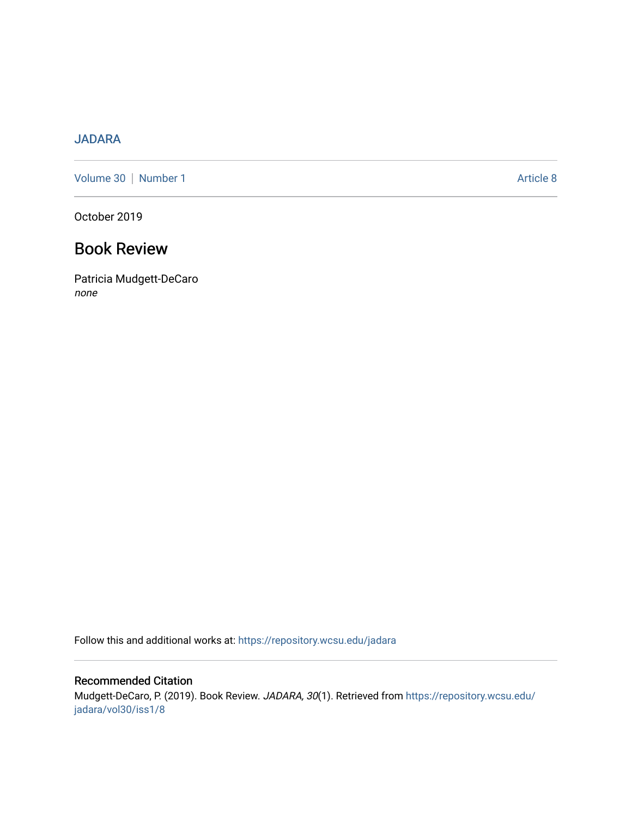## [JADARA](https://repository.wcsu.edu/jadara)

[Volume 30](https://repository.wcsu.edu/jadara/vol30) | [Number 1](https://repository.wcsu.edu/jadara/vol30/iss1) Article 8

October 2019

## Book Review

Patricia Mudgett-DeCaro none

Follow this and additional works at: [https://repository.wcsu.edu/jadara](https://repository.wcsu.edu/jadara?utm_source=repository.wcsu.edu%2Fjadara%2Fvol30%2Fiss1%2F8&utm_medium=PDF&utm_campaign=PDFCoverPages)

Recommended Citation Mudgett-DeCaro, P. (2019). Book Review. JADARA, 30(1). Retrieved from [https://repository.wcsu.edu/](https://repository.wcsu.edu/jadara/vol30/iss1/8?utm_source=repository.wcsu.edu%2Fjadara%2Fvol30%2Fiss1%2F8&utm_medium=PDF&utm_campaign=PDFCoverPages) [jadara/vol30/iss1/8](https://repository.wcsu.edu/jadara/vol30/iss1/8?utm_source=repository.wcsu.edu%2Fjadara%2Fvol30%2Fiss1%2F8&utm_medium=PDF&utm_campaign=PDFCoverPages)